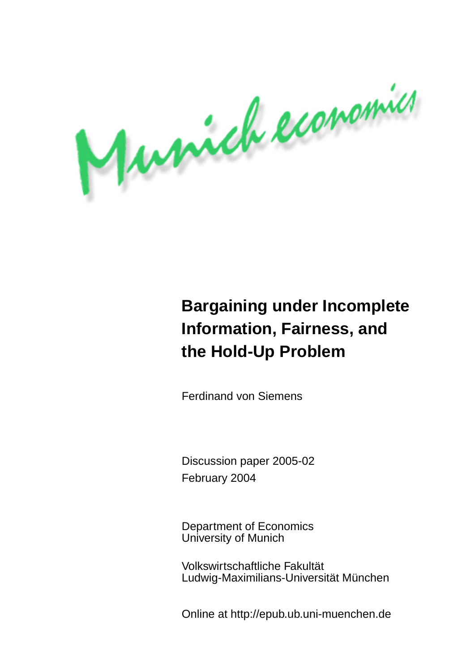Musich economics

# **Bargaining under Incomplete Information, Fairness, and the Hold-Up Problem**

Ferdinand von Siemens

Discussion paper 2005-02 February 2004

Department of Economics University of Munich

Volkswirtschaftliche Fakultät Ludwig-Maximilians-Universität München

Online at http://epub.ub.uni-muenchen.de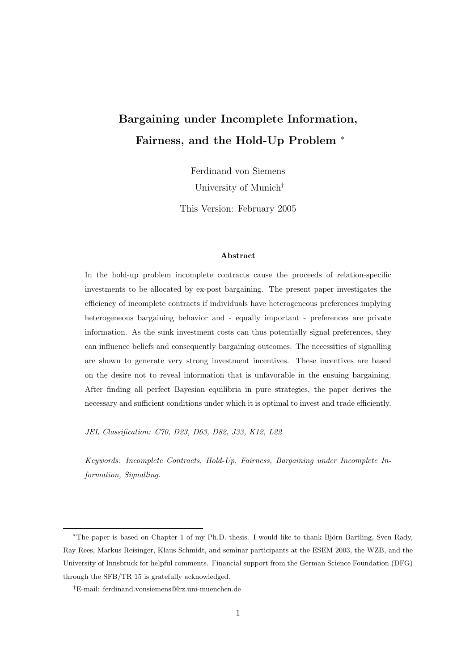## Bargaining under Incomplete Information, Fairness, and the Hold-Up Problem <sup>∗</sup>

Ferdinand von Siemens

University of Munich†

This Version: February 2005

### Abstract

In the hold-up problem incomplete contracts cause the proceeds of relation-specific investments to be allocated by ex-post bargaining. The present paper investigates the efficiency of incomplete contracts if individuals have heterogeneous preferences implying heterogeneous bargaining behavior and - equally important - preferences are private information. As the sunk investment costs can thus potentially signal preferences, they can influence beliefs and consequently bargaining outcomes. The necessities of signalling are shown to generate very strong investment incentives. These incentives are based on the desire not to reveal information that is unfavorable in the ensuing bargaining. After finding all perfect Bayesian equilibria in pure strategies, the paper derives the necessary and sufficient conditions under which it is optimal to invest and trade efficiently.

JEL Classification: C70, D23, D63, D82, J33, K12, L22

Keywords: Incomplete Contracts, Hold-Up, Fairness, Bargaining under Incomplete Information, Signalling.

<sup>\*</sup>The paper is based on Chapter 1 of my Ph.D. thesis. I would like to thank Björn Bartling, Sven Rady, Ray Rees, Markus Reisinger, Klaus Schmidt, and seminar participants at the ESEM 2003, the WZB, and the University of Innsbruck for helpful comments. Financial support from the German Science Foundation (DFG) through the SFB/TR 15 is gratefully acknowledged.

<sup>†</sup>E-mail: ferdinand.vonsiemens@lrz.uni-muenchen.de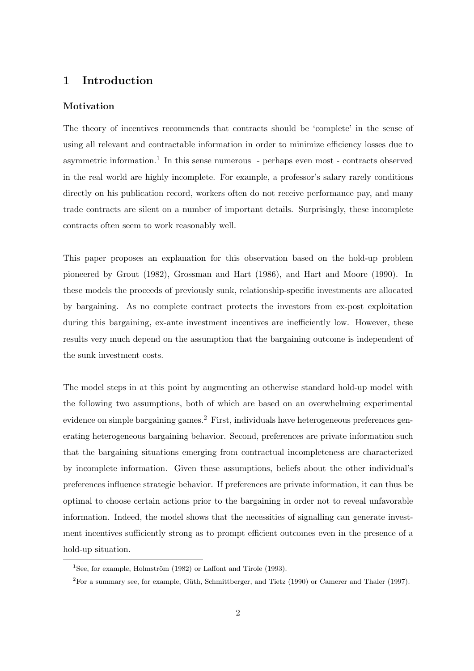### 1 Introduction

### Motivation

The theory of incentives recommends that contracts should be 'complete' in the sense of using all relevant and contractable information in order to minimize efficiency losses due to asymmetric information.<sup>1</sup> In this sense numerous - perhaps even most - contracts observed in the real world are highly incomplete. For example, a professor's salary rarely conditions directly on his publication record, workers often do not receive performance pay, and many trade contracts are silent on a number of important details. Surprisingly, these incomplete contracts often seem to work reasonably well.

This paper proposes an explanation for this observation based on the hold-up problem pioneered by Grout (1982), Grossman and Hart (1986), and Hart and Moore (1990). In these models the proceeds of previously sunk, relationship-specific investments are allocated by bargaining. As no complete contract protects the investors from ex-post exploitation during this bargaining, ex-ante investment incentives are inefficiently low. However, these results very much depend on the assumption that the bargaining outcome is independent of the sunk investment costs.

The model steps in at this point by augmenting an otherwise standard hold-up model with the following two assumptions, both of which are based on an overwhelming experimental evidence on simple bargaining games.<sup>2</sup> First, individuals have heterogeneous preferences generating heterogeneous bargaining behavior. Second, preferences are private information such that the bargaining situations emerging from contractual incompleteness are characterized by incomplete information. Given these assumptions, beliefs about the other individual's preferences influence strategic behavior. If preferences are private information, it can thus be optimal to choose certain actions prior to the bargaining in order not to reveal unfavorable information. Indeed, the model shows that the necessities of signalling can generate investment incentives sufficiently strong as to prompt efficient outcomes even in the presence of a hold-up situation.

<sup>&</sup>lt;sup>1</sup>See, for example, Holmström  $(1982)$  or Laffont and Tirole  $(1993)$ .

 ${}^{2}$ For a summary see, for example, Güth, Schmittberger, and Tietz (1990) or Camerer and Thaler (1997).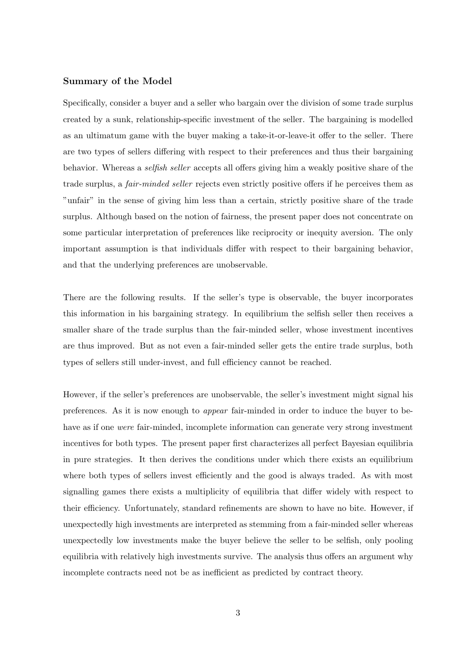### Summary of the Model

Specifically, consider a buyer and a seller who bargain over the division of some trade surplus created by a sunk, relationship-specific investment of the seller. The bargaining is modelled as an ultimatum game with the buyer making a take-it-or-leave-it offer to the seller. There are two types of sellers differing with respect to their preferences and thus their bargaining behavior. Whereas a *selfish seller* accepts all offers giving him a weakly positive share of the trade surplus, a *fair-minded seller* rejects even strictly positive offers if he perceives them as "unfair" in the sense of giving him less than a certain, strictly positive share of the trade surplus. Although based on the notion of fairness, the present paper does not concentrate on some particular interpretation of preferences like reciprocity or inequity aversion. The only important assumption is that individuals differ with respect to their bargaining behavior, and that the underlying preferences are unobservable.

There are the following results. If the seller's type is observable, the buyer incorporates this information in his bargaining strategy. In equilibrium the selfish seller then receives a smaller share of the trade surplus than the fair-minded seller, whose investment incentives are thus improved. But as not even a fair-minded seller gets the entire trade surplus, both types of sellers still under-invest, and full efficiency cannot be reached.

However, if the seller's preferences are unobservable, the seller's investment might signal his preferences. As it is now enough to appear fair-minded in order to induce the buyer to behave as if one were fair-minded, incomplete information can generate very strong investment incentives for both types. The present paper first characterizes all perfect Bayesian equilibria in pure strategies. It then derives the conditions under which there exists an equilibrium where both types of sellers invest efficiently and the good is always traded. As with most signalling games there exists a multiplicity of equilibria that differ widely with respect to their efficiency. Unfortunately, standard refinements are shown to have no bite. However, if unexpectedly high investments are interpreted as stemming from a fair-minded seller whereas unexpectedly low investments make the buyer believe the seller to be selfish, only pooling equilibria with relatively high investments survive. The analysis thus offers an argument why incomplete contracts need not be as inefficient as predicted by contract theory.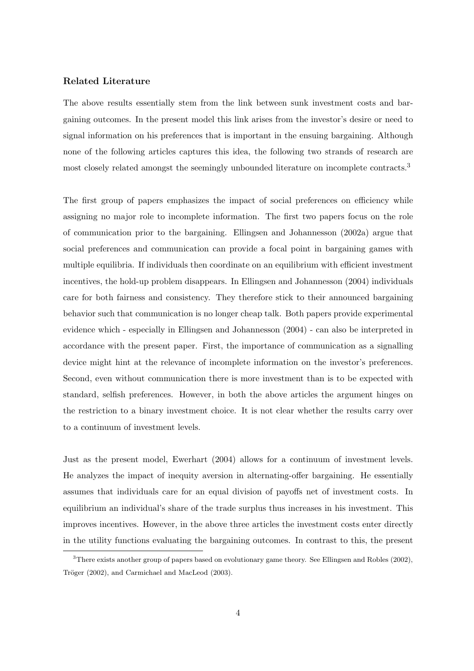### Related Literature

The above results essentially stem from the link between sunk investment costs and bargaining outcomes. In the present model this link arises from the investor's desire or need to signal information on his preferences that is important in the ensuing bargaining. Although none of the following articles captures this idea, the following two strands of research are most closely related amongst the seemingly unbounded literature on incomplete contracts.<sup>3</sup>

The first group of papers emphasizes the impact of social preferences on efficiency while assigning no major role to incomplete information. The first two papers focus on the role of communication prior to the bargaining. Ellingsen and Johannesson (2002a) argue that social preferences and communication can provide a focal point in bargaining games with multiple equilibria. If individuals then coordinate on an equilibrium with efficient investment incentives, the hold-up problem disappears. In Ellingsen and Johannesson (2004) individuals care for both fairness and consistency. They therefore stick to their announced bargaining behavior such that communication is no longer cheap talk. Both papers provide experimental evidence which - especially in Ellingsen and Johannesson (2004) - can also be interpreted in accordance with the present paper. First, the importance of communication as a signalling device might hint at the relevance of incomplete information on the investor's preferences. Second, even without communication there is more investment than is to be expected with standard, selfish preferences. However, in both the above articles the argument hinges on the restriction to a binary investment choice. It is not clear whether the results carry over to a continuum of investment levels.

Just as the present model, Ewerhart (2004) allows for a continuum of investment levels. He analyzes the impact of inequity aversion in alternating-offer bargaining. He essentially assumes that individuals care for an equal division of payoffs net of investment costs. In equilibrium an individual's share of the trade surplus thus increases in his investment. This improves incentives. However, in the above three articles the investment costs enter directly in the utility functions evaluating the bargaining outcomes. In contrast to this, the present

<sup>3</sup>There exists another group of papers based on evolutionary game theory. See Ellingsen and Robles (2002), Tröger (2002), and Carmichael and MacLeod (2003).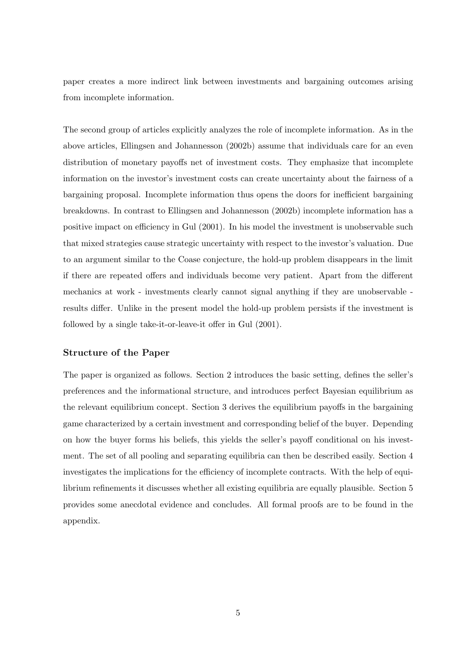paper creates a more indirect link between investments and bargaining outcomes arising from incomplete information.

The second group of articles explicitly analyzes the role of incomplete information. As in the above articles, Ellingsen and Johannesson (2002b) assume that individuals care for an even distribution of monetary payoffs net of investment costs. They emphasize that incomplete information on the investor's investment costs can create uncertainty about the fairness of a bargaining proposal. Incomplete information thus opens the doors for inefficient bargaining breakdowns. In contrast to Ellingsen and Johannesson (2002b) incomplete information has a positive impact on efficiency in Gul (2001). In his model the investment is unobservable such that mixed strategies cause strategic uncertainty with respect to the investor's valuation. Due to an argument similar to the Coase conjecture, the hold-up problem disappears in the limit if there are repeated offers and individuals become very patient. Apart from the different mechanics at work - investments clearly cannot signal anything if they are unobservable results differ. Unlike in the present model the hold-up problem persists if the investment is followed by a single take-it-or-leave-it offer in Gul (2001).

### Structure of the Paper

The paper is organized as follows. Section 2 introduces the basic setting, defines the seller's preferences and the informational structure, and introduces perfect Bayesian equilibrium as the relevant equilibrium concept. Section 3 derives the equilibrium payoffs in the bargaining game characterized by a certain investment and corresponding belief of the buyer. Depending on how the buyer forms his beliefs, this yields the seller's payoff conditional on his investment. The set of all pooling and separating equilibria can then be described easily. Section 4 investigates the implications for the efficiency of incomplete contracts. With the help of equilibrium refinements it discusses whether all existing equilibria are equally plausible. Section 5 provides some anecdotal evidence and concludes. All formal proofs are to be found in the appendix.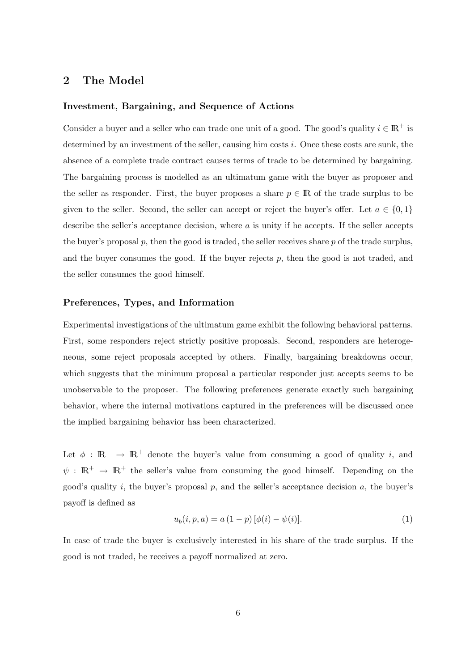### 2 The Model

### Investment, Bargaining, and Sequence of Actions

Consider a buyer and a seller who can trade one unit of a good. The good's quality  $i \in \mathbb{R}^+$  is determined by an investment of the seller, causing him costs  $i$ . Once these costs are sunk, the absence of a complete trade contract causes terms of trade to be determined by bargaining. The bargaining process is modelled as an ultimatum game with the buyer as proposer and the seller as responder. First, the buyer proposes a share  $p \in \mathbb{R}$  of the trade surplus to be given to the seller. Second, the seller can accept or reject the buyer's offer. Let  $a \in \{0,1\}$ describe the seller's acceptance decision, where  $a$  is unity if he accepts. If the seller accepts the buyer's proposal  $p$ , then the good is traded, the seller receives share  $p$  of the trade surplus, and the buyer consumes the good. If the buyer rejects  $p$ , then the good is not traded, and the seller consumes the good himself.

### Preferences, Types, and Information

Experimental investigations of the ultimatum game exhibit the following behavioral patterns. First, some responders reject strictly positive proposals. Second, responders are heterogeneous, some reject proposals accepted by others. Finally, bargaining breakdowns occur, which suggests that the minimum proposal a particular responder just accepts seems to be unobservable to the proposer. The following preferences generate exactly such bargaining behavior, where the internal motivations captured in the preferences will be discussed once the implied bargaining behavior has been characterized.

Let  $\phi : \mathbb{R}^+ \to \mathbb{R}^+$  denote the buyer's value from consuming a good of quality i, and  $\psi : \mathbb{R}^+ \to \mathbb{R}^+$  the seller's value from consuming the good himself. Depending on the good's quality i, the buyer's proposal  $p$ , and the seller's acceptance decision  $a$ , the buyer's payoff is defined as

$$
u_b(i, p, a) = a (1 - p) [\phi(i) - \psi(i)].
$$
\n(1)

In case of trade the buyer is exclusively interested in his share of the trade surplus. If the good is not traded, he receives a payoff normalized at zero.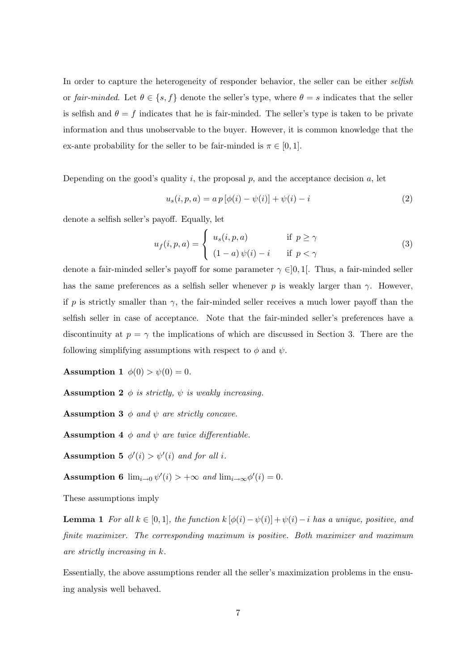In order to capture the heterogeneity of responder behavior, the seller can be either selfish or fair-minded. Let  $\theta \in \{s, f\}$  denote the seller's type, where  $\theta = s$  indicates that the seller is selfish and  $\theta = f$  indicates that he is fair-minded. The seller's type is taken to be private information and thus unobservable to the buyer. However, it is common knowledge that the ex-ante probability for the seller to be fair-minded is  $\pi \in [0, 1]$ .

Depending on the good's quality  $i$ , the proposal  $p$ , and the acceptance decision  $a$ , let

$$
u_s(i, p, a) = a p [\phi(i) - \psi(i)] + \psi(i) - i
$$
\n(2)

denote a selfish seller's payoff. Equally, let  $\frac{1}{2}$ 

$$
u_f(i, p, a) = \begin{cases} u_s(i, p, a) & \text{if } p \ge \gamma \\ (1 - a) \psi(i) - i & \text{if } p < \gamma \end{cases}
$$
 (3)

denote a fair-minded seller's payoff for some parameter  $\gamma \in ]0,1[$ . Thus, a fair-minded seller has the same preferences as a selfish seller whenever p is weakly larger than  $\gamma$ . However, if p is strictly smaller than  $\gamma$ , the fair-minded seller receives a much lower payoff than the selfish seller in case of acceptance. Note that the fair-minded seller's preferences have a discontinuity at  $p = \gamma$  the implications of which are discussed in Section 3. There are the following simplifying assumptions with respect to  $\phi$  and  $\psi$ .

Assumption 1  $\phi(0) > \psi(0) = 0$ .

**Assumption 2**  $\phi$  is strictly,  $\psi$  is weakly increasing.

**Assumption 3**  $\phi$  and  $\psi$  are strictly concave.

**Assumption 4**  $\phi$  and  $\psi$  are twice differentiable.

**Assumption 5**  $\phi'(i) > \psi'(i)$  and for all *i*.

Assumption 6  $\lim_{i\to 0} \psi'(i) > +\infty$  and  $\lim_{i\to \infty} \phi'(i) = 0$ .

These assumptions imply

**Lemma 1** For all  $k \in [0,1]$ , the function  $k [\phi(i) - \psi(i)] + \psi(i) - i$  has a unique, positive, and finite maximizer. The corresponding maximum is positive. Both maximizer and maximum are strictly increasing in k.

Essentially, the above assumptions render all the seller's maximization problems in the ensuing analysis well behaved.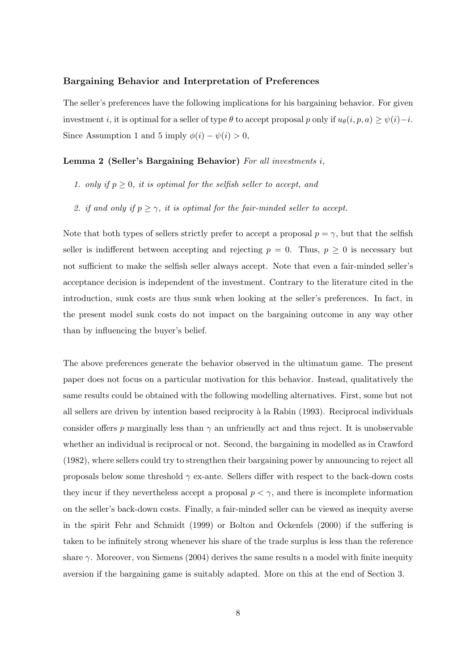### Bargaining Behavior and Interpretation of Preferences

The seller's preferences have the following implications for his bargaining behavior. For given investment i, it is optimal for a seller of type  $\theta$  to accept proposal p only if  $u_{\theta}(i, p, a) \geq \psi(i) - i$ . Since Assumption 1 and 5 imply  $\phi(i) - \psi(i) > 0$ ,

### Lemma 2 (Seller's Bargaining Behavior) For all investments i,

- 1. only if  $p \geq 0$ , it is optimal for the selfish seller to accept, and
- 2. if and only if  $p \ge \gamma$ , it is optimal for the fair-minded seller to accept.

Note that both types of sellers strictly prefer to accept a proposal  $p = \gamma$ , but that the selfish seller is indifferent between accepting and rejecting  $p = 0$ . Thus,  $p \ge 0$  is necessary but not sufficient to make the selfish seller always accept. Note that even a fair-minded seller's acceptance decision is independent of the investment. Contrary to the literature cited in the introduction, sunk costs are thus sunk when looking at the seller's preferences. In fact, in the present model sunk costs do not impact on the bargaining outcome in any way other than by influencing the buyer's belief.

The above preferences generate the behavior observed in the ultimatum game. The present paper does not focus on a particular motivation for this behavior. Instead, qualitatively the same results could be obtained with the following modelling alternatives. First, some but not all sellers are driven by intention based reciprocity à la Rabin (1993). Reciprocal individuals consider offers p marginally less than  $\gamma$  an unfriendly act and thus reject. It is unobservable whether an individual is reciprocal or not. Second, the bargaining in modelled as in Crawford (1982), where sellers could try to strengthen their bargaining power by announcing to reject all proposals below some threshold  $\gamma$  ex-ante. Sellers differ with respect to the back-down costs they incur if they nevertheless accept a proposal  $p < \gamma$ , and there is incomplete information on the seller's back-down costs. Finally, a fair-minded seller can be viewed as inequity averse in the spirit Fehr and Schmidt (1999) or Bolton and Ockenfels (2000) if the suffering is taken to be infinitely strong whenever his share of the trade surplus is less than the reference share  $\gamma$ . Moreover, von Siemens (2004) derives the same results n a model with finite inequity aversion if the bargaining game is suitably adapted. More on this at the end of Section 3.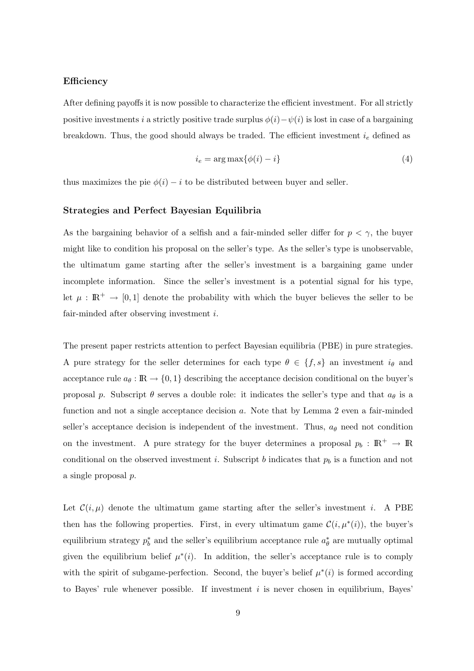### Efficiency

After defining payoffs it is now possible to characterize the efficient investment. For all strictly positive investments i a strictly positive trade surplus  $\phi(i)-\psi(i)$  is lost in case of a bargaining breakdown. Thus, the good should always be traded. The efficient investment  $i_e$  defined as

$$
i_e = \arg \max \{ \phi(i) - i \}
$$
\n<sup>(4)</sup>

thus maximizes the pie  $\phi(i) - i$  to be distributed between buyer and seller.

### Strategies and Perfect Bayesian Equilibria

As the bargaining behavior of a selfish and a fair-minded seller differ for  $p < \gamma$ , the buyer might like to condition his proposal on the seller's type. As the seller's type is unobservable, the ultimatum game starting after the seller's investment is a bargaining game under incomplete information. Since the seller's investment is a potential signal for his type, let  $\mu : \mathbb{R}^+ \to [0,1]$  denote the probability with which the buyer believes the seller to be fair-minded after observing investment i.

The present paper restricts attention to perfect Bayesian equilibria (PBE) in pure strategies. A pure strategy for the seller determines for each type  $\theta \in \{f, s\}$  an investment  $i_{\theta}$  and acceptance rule  $a_{\theta} : \mathbb{R} \to \{0,1\}$  describing the acceptance decision conditional on the buyer's proposal p. Subscript  $\theta$  serves a double role: it indicates the seller's type and that  $a_{\theta}$  is a function and not a single acceptance decision a. Note that by Lemma 2 even a fair-minded seller's acceptance decision is independent of the investment. Thus,  $a_{\theta}$  need not condition on the investment. A pure strategy for the buyer determines a proposal  $p_b : \mathbb{R}^+ \to \mathbb{R}$ conditional on the observed investment i. Subscript b indicates that  $p<sub>b</sub>$  is a function and not a single proposal p.

Let  $\mathcal{C}(i,\mu)$  denote the ultimatum game starting after the seller's investment i. A PBE then has the following properties. First, in every ultimatum game  $\mathcal{C}(i, \mu^*(i))$ , the buyer's equilibrium strategy  $p_b^*$  and the seller's equilibrium acceptance rule  $a_{\theta}^*$  are mutually optimal given the equilibrium belief  $\mu^*(i)$ . In addition, the seller's acceptance rule is to comply with the spirit of subgame-perfection. Second, the buyer's belief  $\mu^*(i)$  is formed according to Bayes' rule whenever possible. If investment  $i$  is never chosen in equilibrium, Bayes'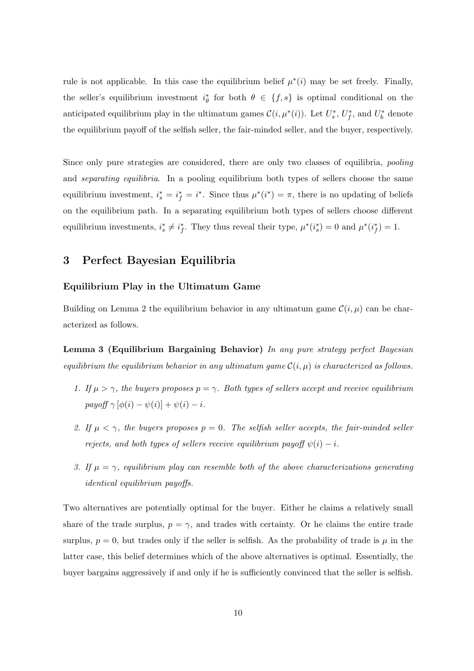rule is not applicable. In this case the equilibrium belief  $\mu^*(i)$  may be set freely. Finally, the seller's equilibrium investment  $i^*_{\theta}$  for both  $\theta \in \{f, s\}$  is optimal conditional on the anticipated equilibrium play in the ultimatum games  $\mathcal{C}(i, \mu^*(i))$ . Let  $U_s^*, U_f^*,$  and  $U_b^*$  denote the equilibrium payoff of the selfish seller, the fair-minded seller, and the buyer, respectively.

Since only pure strategies are considered, there are only two classes of equilibria, *pooling* and *separating equilibria*. In a pooling equilibrium both types of sellers choose the same equilibrium investment,  $i_s^* = i_f^* = i^*$ . Since thus  $\mu^*(i^*) = \pi$ , there is no updating of beliefs on the equilibrium path. In a separating equilibrium both types of sellers choose different equilibrium investments,  $i_s^* \neq i_f^*$ . They thus reveal their type,  $\mu^*(i_s^*) = 0$  and  $\mu^*(i_f^*) = 1$ .

### 3 Perfect Bayesian Equilibria

### Equilibrium Play in the Ultimatum Game

Building on Lemma 2 the equilibrium behavior in any ultimatum game  $\mathcal{C}(i, \mu)$  can be characterized as follows.

Lemma 3 (Equilibrium Bargaining Behavior) In any pure strategy perfect Bayesian equilibrium the equilibrium behavior in any ultimatum game  $\mathcal{C}(i, \mu)$  is characterized as follows.

- 1. If  $\mu > \gamma$ , the buyers proposes  $p = \gamma$ . Both types of sellers accept and receive equilibrium payoff  $\gamma [\phi(i) - \psi(i)] + \psi(i) - i$ .
- 2. If  $\mu < \gamma$ , the buyers proposes  $p = 0$ . The selfish seller accepts, the fair-minded seller rejects, and both types of sellers receive equilibrium payoff  $\psi(i) - i$ .
- 3. If  $\mu = \gamma$ , equilibrium play can resemble both of the above characterizations generating identical equilibrium payoffs.

Two alternatives are potentially optimal for the buyer. Either he claims a relatively small share of the trade surplus,  $p = \gamma$ , and trades with certainty. Or he claims the entire trade surplus,  $p = 0$ , but trades only if the seller is selfish. As the probability of trade is  $\mu$  in the latter case, this belief determines which of the above alternatives is optimal. Essentially, the buyer bargains aggressively if and only if he is sufficiently convinced that the seller is selfish.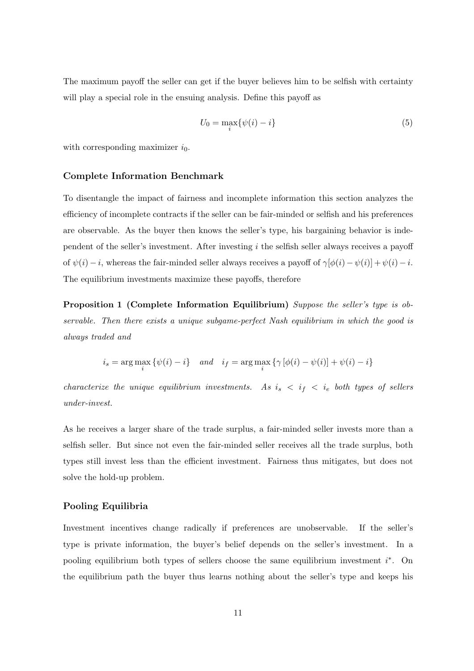The maximum payoff the seller can get if the buyer believes him to be selfish with certainty will play a special role in the ensuing analysis. Define this payoff as

$$
U_0 = \max_i \{ \psi(i) - i \} \tag{5}
$$

with corresponding maximizer  $i_0$ .

#### Complete Information Benchmark

To disentangle the impact of fairness and incomplete information this section analyzes the efficiency of incomplete contracts if the seller can be fair-minded or selfish and his preferences are observable. As the buyer then knows the seller's type, his bargaining behavior is independent of the seller's investment. After investing  $i$  the selfish seller always receives a payoff of  $\psi(i) - i$ , whereas the fair-minded seller always receives a payoff of  $\gamma[\phi(i) - \psi(i)] + \psi(i) - i$ . The equilibrium investments maximize these payoffs, therefore

Proposition 1 (Complete Information Equilibrium) Suppose the seller's type is observable. Then there exists a unique subgame-perfect Nash equilibrium in which the good is always traded and

$$
i_s = \arg\max_i \left\{ \psi(i) - i \right\} \quad and \quad i_f = \arg\max_i \left\{ \gamma \left[ \phi(i) - \psi(i) \right] + \psi(i) - i \right\}
$$

characterize the unique equilibrium investments. As  $i_s < i_f < i_e$  both types of sellers under-invest.

As he receives a larger share of the trade surplus, a fair-minded seller invests more than a selfish seller. But since not even the fair-minded seller receives all the trade surplus, both types still invest less than the efficient investment. Fairness thus mitigates, but does not solve the hold-up problem.

### Pooling Equilibria

Investment incentives change radically if preferences are unobservable. If the seller's type is private information, the buyer's belief depends on the seller's investment. In a pooling equilibrium both types of sellers choose the same equilibrium investment  $i^*$ . On the equilibrium path the buyer thus learns nothing about the seller's type and keeps his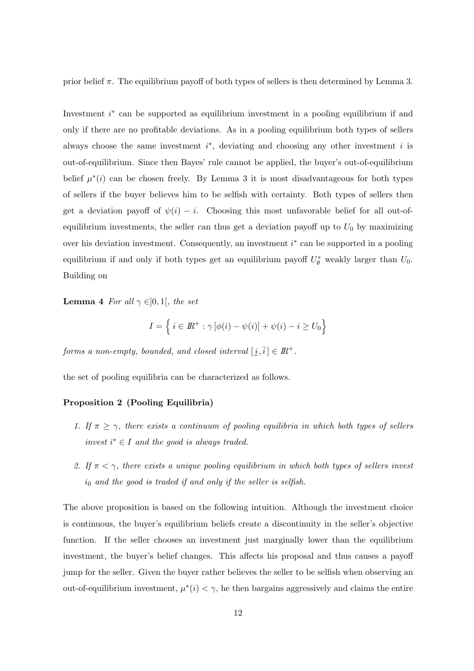prior belief  $\pi$ . The equilibrium payoff of both types of sellers is then determined by Lemma 3.

Investment  $i^*$  can be supported as equilibrium investment in a pooling equilibrium if and only if there are no profitable deviations. As in a pooling equilibrium both types of sellers always choose the same investment  $i^*$ , deviating and choosing any other investment i is out-of-equilibrium. Since then Bayes' rule cannot be applied, the buyer's out-of-equilibrium belief  $\mu^*(i)$  can be chosen freely. By Lemma 3 it is most disadvantageous for both types of sellers if the buyer believes him to be selfish with certainty. Both types of sellers then get a deviation payoff of  $\psi(i) - i$ . Choosing this most unfavorable belief for all out-ofequilibrium investments, the seller can thus get a deviation payoff up to  $U_0$  by maximizing over his deviation investment. Consequently, an investment  $i^*$  can be supported in a pooling equilibrium if and only if both types get an equilibrium payoff  $U^*_{\theta}$  weakly larger than  $U_0$ . Building on

**Lemma 4** For all  $\gamma \in ]0,1[$ , the set

$$
I = \left\{ i \in \mathbb{R}^+ : \gamma \left[ \phi(i) - \psi(i) \right] + \psi(i) - i \ge U_0 \right\}
$$

forms a non-empty, bounded, and closed interval  $[i, \overline{i}] \in I\!\!R^+$ .

the set of pooling equilibria can be characterized as follows.

### Proposition 2 (Pooling Equilibria)

- 1. If  $\pi \geq \gamma$ , there exists a continuum of pooling equilibria in which both types of sellers invest  $i^* \in I$  and the good is always traded.
- 2. If  $\pi < \gamma$ , there exists a unique pooling equilibrium in which both types of sellers invest  $i_0$  and the good is traded if and only if the seller is selfish.

The above proposition is based on the following intuition. Although the investment choice is continuous, the buyer's equilibrium beliefs create a discontinuity in the seller's objective function. If the seller chooses an investment just marginally lower than the equilibrium investment, the buyer's belief changes. This affects his proposal and thus causes a payoff jump for the seller. Given the buyer rather believes the seller to be selfish when observing an out-of-equilibrium investment,  $\mu^*(i) < \gamma$ , he then bargains aggressively and claims the entire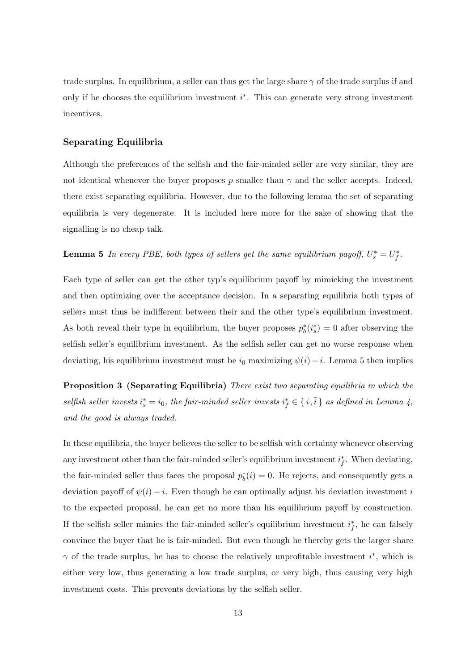trade surplus. In equilibrium, a seller can thus get the large share  $\gamma$  of the trade surplus if and only if he chooses the equilibrium investment  $i^*$ . This can generate very strong investment incentives.

#### Separating Equilibria

Although the preferences of the selfish and the fair-minded seller are very similar, they are not identical whenever the buyer proposes p smaller than  $\gamma$  and the seller accepts. Indeed, there exist separating equilibria. However, due to the following lemma the set of separating equilibria is very degenerate. It is included here more for the sake of showing that the signalling is no cheap talk.

### **Lemma 5** In every PBE, both types of sellers get the same equilibrium payoff,  $U_s^* = U_f^*$ .

Each type of seller can get the other typ's equilibrium payoff by mimicking the investment and then optimizing over the acceptance decision. In a separating equilibria both types of sellers must thus be indifferent between their and the other type's equilibrium investment. As both reveal their type in equilibrium, the buyer proposes  $p_b^*(i_s^*) = 0$  after observing the selfish seller's equilibrium investment. As the selfish seller can get no worse response when deviating, his equilibrium investment must be  $i_0$  maximizing  $\psi(i) - i$ . Lemma 5 then implies

**Proposition 3 (Separating Equilibria)** There exist two separating equilibria in which the selfish seller invests  $i_s^* = i_0$ , the fair-minded seller invests  $i_f^* \in \{\underline{i}, \overline{i}\}$  as defined in Lemma 4, and the good is always traded.

In these equilibria, the buyer believes the seller to be selfish with certainty whenever observing any investment other than the fair-minded seller's equilibrium investment  $i_f^*$ . When deviating, the fair-minded seller thus faces the proposal  $p_b^*(i) = 0$ . He rejects, and consequently gets a deviation payoff of  $\psi(i) - i$ . Even though he can optimally adjust his deviation investment i to the expected proposal, he can get no more than his equilibrium payoff by construction. If the selfish seller mimics the fair-minded seller's equilibrium investment  $i_f^*$ , he can falsely convince the buyer that he is fair-minded. But even though he thereby gets the larger share  $\gamma$  of the trade surplus, he has to choose the relatively unprofitable investment  $i^*$ , which is either very low, thus generating a low trade surplus, or very high, thus causing very high investment costs. This prevents deviations by the selfish seller.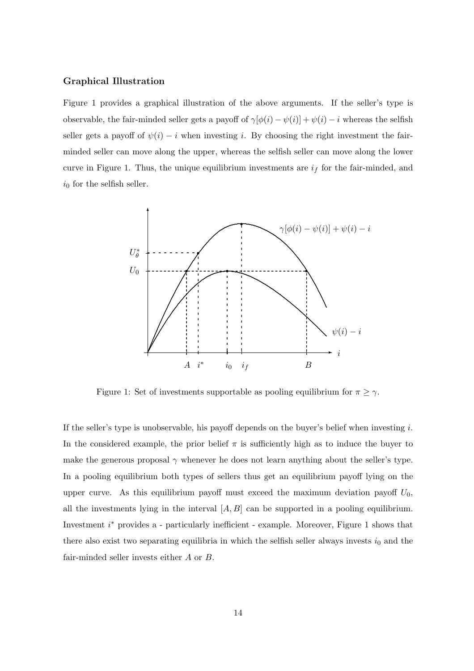### Graphical Illustration

Figure 1 provides a graphical illustration of the above arguments. If the seller's type is observable, the fair-minded seller gets a payoff of  $\gamma[\phi(i) - \psi(i)] + \psi(i) - i$  whereas the selfish seller gets a payoff of  $\psi(i) - i$  when investing i. By choosing the right investment the fairminded seller can move along the upper, whereas the selfish seller can move along the lower curve in Figure 1. Thus, the unique equilibrium investments are  $i_f$  for the fair-minded, and  $i_0$  for the selfish seller.



Figure 1: Set of investments supportable as pooling equilibrium for  $\pi \ge \gamma$ .

If the seller's type is unobservable, his payoff depends on the buyer's belief when investing  $i$ . In the considered example, the prior belief  $\pi$  is sufficiently high as to induce the buyer to make the generous proposal  $\gamma$  whenever he does not learn anything about the seller's type. In a pooling equilibrium both types of sellers thus get an equilibrium payoff lying on the upper curve. As this equilibrium payoff must exceed the maximum deviation payoff  $U_0$ , all the investments lying in the interval  $[A, B]$  can be supported in a pooling equilibrium. Investment  $i^*$  provides a - particularly inefficient - example. Moreover, Figure 1 shows that there also exist two separating equilibria in which the selfish seller always invests  $i_0$  and the fair-minded seller invests either A or B.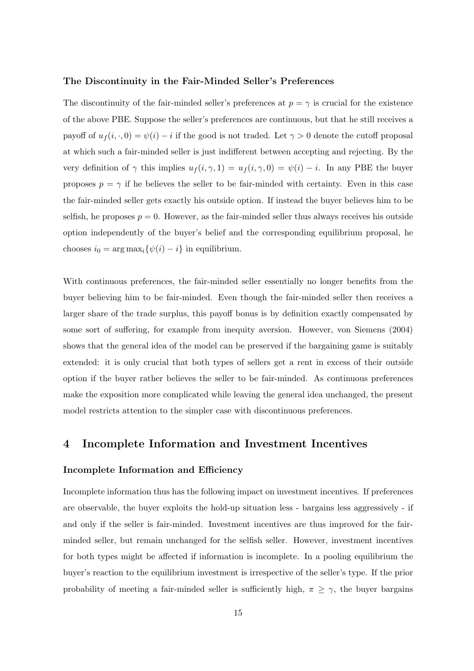#### The Discontinuity in the Fair-Minded Seller's Preferences

The discontinuity of the fair-minded seller's preferences at  $p = \gamma$  is crucial for the existence of the above PBE. Suppose the seller's preferences are continuous, but that he still receives a payoff of  $u_f(i, \cdot, 0) = \psi(i) - i$  if the good is not traded. Let  $\gamma > 0$  denote the cutoff proposal at which such a fair-minded seller is just indifferent between accepting and rejecting. By the very definition of  $\gamma$  this implies  $u_f(i, \gamma, 1) = u_f(i, \gamma, 0) = \psi(i) - i$ . In any PBE the buyer proposes  $p = \gamma$  if he believes the seller to be fair-minded with certainty. Even in this case the fair-minded seller gets exactly his outside option. If instead the buyer believes him to be selfish, he proposes  $p = 0$ . However, as the fair-minded seller thus always receives his outside option independently of the buyer's belief and the corresponding equilibrium proposal, he chooses  $i_0 = \arg \max_i {\{\psi(i) - i\}}$  in equilibrium.

With continuous preferences, the fair-minded seller essentially no longer benefits from the buyer believing him to be fair-minded. Even though the fair-minded seller then receives a larger share of the trade surplus, this payoff bonus is by definition exactly compensated by some sort of suffering, for example from inequity aversion. However, von Siemens (2004) shows that the general idea of the model can be preserved if the bargaining game is suitably extended: it is only crucial that both types of sellers get a rent in excess of their outside option if the buyer rather believes the seller to be fair-minded. As continuous preferences make the exposition more complicated while leaving the general idea unchanged, the present model restricts attention to the simpler case with discontinuous preferences.

### 4 Incomplete Information and Investment Incentives

### Incomplete Information and Efficiency

Incomplete information thus has the following impact on investment incentives. If preferences are observable, the buyer exploits the hold-up situation less - bargains less aggressively - if and only if the seller is fair-minded. Investment incentives are thus improved for the fairminded seller, but remain unchanged for the selfish seller. However, investment incentives for both types might be affected if information is incomplete. In a pooling equilibrium the buyer's reaction to the equilibrium investment is irrespective of the seller's type. If the prior probability of meeting a fair-minded seller is sufficiently high,  $\pi \geq \gamma$ , the buyer bargains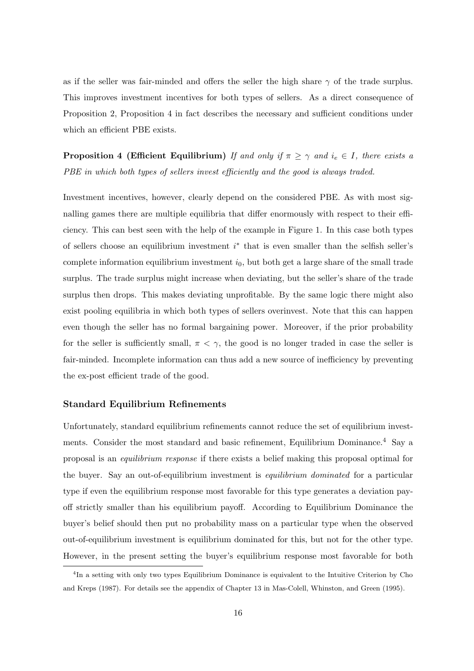as if the seller was fair-minded and offers the seller the high share  $\gamma$  of the trade surplus. This improves investment incentives for both types of sellers. As a direct consequence of Proposition 2, Proposition 4 in fact describes the necessary and sufficient conditions under which an efficient PBE exists.

**Proposition 4 (Efficient Equilibrium)** If and only if  $\pi \geq \gamma$  and  $i_e \in I$ , there exists a PBE in which both types of sellers invest efficiently and the good is always traded.

Investment incentives, however, clearly depend on the considered PBE. As with most signalling games there are multiple equilibria that differ enormously with respect to their efficiency. This can best seen with the help of the example in Figure 1. In this case both types of sellers choose an equilibrium investment  $i^*$  that is even smaller than the selfish seller's complete information equilibrium investment  $i_0$ , but both get a large share of the small trade surplus. The trade surplus might increase when deviating, but the seller's share of the trade surplus then drops. This makes deviating unprofitable. By the same logic there might also exist pooling equilibria in which both types of sellers overinvest. Note that this can happen even though the seller has no formal bargaining power. Moreover, if the prior probability for the seller is sufficiently small,  $\pi < \gamma$ , the good is no longer traded in case the seller is fair-minded. Incomplete information can thus add a new source of inefficiency by preventing the ex-post efficient trade of the good.

### Standard Equilibrium Refinements

Unfortunately, standard equilibrium refinements cannot reduce the set of equilibrium investments. Consider the most standard and basic refinement, Equilibrium Dominance.<sup>4</sup> Say a proposal is an equilibrium response if there exists a belief making this proposal optimal for the buyer. Say an out-of-equilibrium investment is *equilibrium dominated* for a particular type if even the equilibrium response most favorable for this type generates a deviation payoff strictly smaller than his equilibrium payoff. According to Equilibrium Dominance the buyer's belief should then put no probability mass on a particular type when the observed out-of-equilibrium investment is equilibrium dominated for this, but not for the other type. However, in the present setting the buyer's equilibrium response most favorable for both

<sup>&</sup>lt;sup>4</sup>In a setting with only two types Equilibrium Dominance is equivalent to the Intuitive Criterion by Cho and Kreps (1987). For details see the appendix of Chapter 13 in Mas-Colell, Whinston, and Green (1995).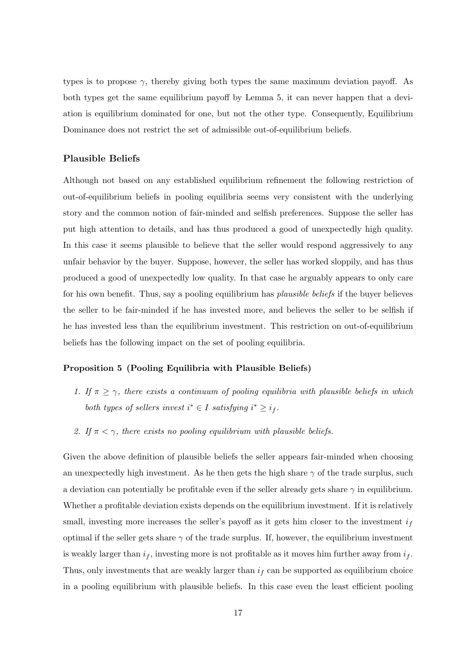types is to propose  $\gamma$ , thereby giving both types the same maximum deviation payoff. As both types get the same equilibrium payoff by Lemma 5, it can never happen that a deviation is equilibrium dominated for one, but not the other type. Consequently, Equilibrium Dominance does not restrict the set of admissible out-of-equilibrium beliefs.

### Plausible Beliefs

Although not based on any established equilibrium refinement the following restriction of out-of-equilibrium beliefs in pooling equilibria seems very consistent with the underlying story and the common notion of fair-minded and selfish preferences. Suppose the seller has put high attention to details, and has thus produced a good of unexpectedly high quality. In this case it seems plausible to believe that the seller would respond aggressively to any unfair behavior by the buyer. Suppose, however, the seller has worked sloppily, and has thus produced a good of unexpectedly low quality. In that case he arguably appears to only care for his own benefit. Thus, say a pooling equilibrium has *plausible beliefs* if the buyer believes the seller to be fair-minded if he has invested more, and believes the seller to be selfish if he has invested less than the equilibrium investment. This restriction on out-of-equilibrium beliefs has the following impact on the set of pooling equilibria.

#### Proposition 5 (Pooling Equilibria with Plausible Beliefs)

- 1. If  $\pi \geq \gamma$ , there exists a continuum of pooling equilibria with plausible beliefs in which both types of sellers invest  $i^* \in I$  satisfying  $i^* \geq i_f$ .
- 2. If  $\pi < \gamma$ , there exists no pooling equilibrium with plausible beliefs.

Given the above definition of plausible beliefs the seller appears fair-minded when choosing an unexpectedly high investment. As he then gets the high share  $\gamma$  of the trade surplus, such a deviation can potentially be profitable even if the seller already gets share  $\gamma$  in equilibrium. Whether a profitable deviation exists depends on the equilibrium investment. If it is relatively small, investing more increases the seller's payoff as it gets him closer to the investment  $i_f$ optimal if the seller gets share  $\gamma$  of the trade surplus. If, however, the equilibrium investment is weakly larger than  $i_f$ , investing more is not profitable as it moves him further away from  $i_f$ . Thus, only investments that are weakly larger than  $i<sub>f</sub>$  can be supported as equilibrium choice in a pooling equilibrium with plausible beliefs. In this case even the least efficient pooling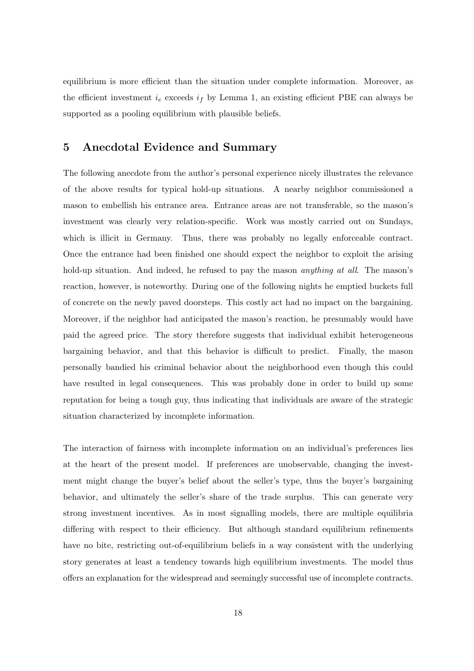equilibrium is more efficient than the situation under complete information. Moreover, as the efficient investment  $i_e$  exceeds  $i_f$  by Lemma 1, an existing efficient PBE can always be supported as a pooling equilibrium with plausible beliefs.

### 5 Anecdotal Evidence and Summary

The following anecdote from the author's personal experience nicely illustrates the relevance of the above results for typical hold-up situations. A nearby neighbor commissioned a mason to embellish his entrance area. Entrance areas are not transferable, so the mason's investment was clearly very relation-specific. Work was mostly carried out on Sundays, which is illicit in Germany. Thus, there was probably no legally enforceable contract. Once the entrance had been finished one should expect the neighbor to exploit the arising hold-up situation. And indeed, he refused to pay the mason *anything at all*. The mason's reaction, however, is noteworthy. During one of the following nights he emptied buckets full of concrete on the newly paved doorsteps. This costly act had no impact on the bargaining. Moreover, if the neighbor had anticipated the mason's reaction, he presumably would have paid the agreed price. The story therefore suggests that individual exhibit heterogeneous bargaining behavior, and that this behavior is difficult to predict. Finally, the mason personally bandied his criminal behavior about the neighborhood even though this could have resulted in legal consequences. This was probably done in order to build up some reputation for being a tough guy, thus indicating that individuals are aware of the strategic situation characterized by incomplete information.

The interaction of fairness with incomplete information on an individual's preferences lies at the heart of the present model. If preferences are unobservable, changing the investment might change the buyer's belief about the seller's type, thus the buyer's bargaining behavior, and ultimately the seller's share of the trade surplus. This can generate very strong investment incentives. As in most signalling models, there are multiple equilibria differing with respect to their efficiency. But although standard equilibrium refinements have no bite, restricting out-of-equilibrium beliefs in a way consistent with the underlying story generates at least a tendency towards high equilibrium investments. The model thus offers an explanation for the widespread and seemingly successful use of incomplete contracts.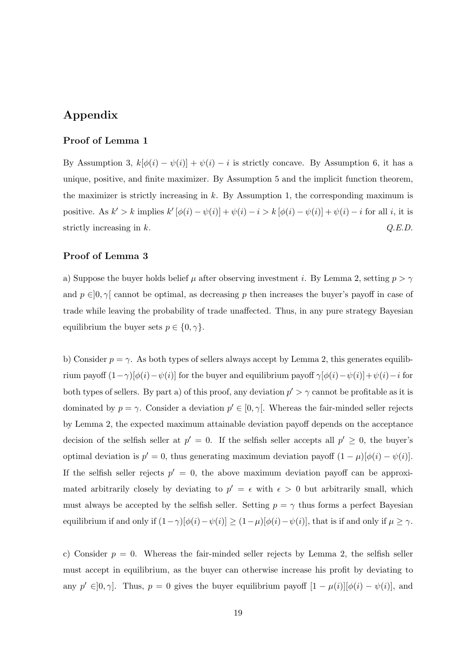### Appendix

### Proof of Lemma 1

By Assumption 3,  $k[\phi(i) - \psi(i)] + \psi(i) - i$  is strictly concave. By Assumption 6, it has a unique, positive, and finite maximizer. By Assumption 5 and the implicit function theorem, the maximizer is strictly increasing in  $k$ . By Assumption 1, the corresponding maximum is positive. As  $k' > k$  implies  $k' [\phi(i) - \psi(i)] + \psi(i) - i > k [\phi(i) - \psi(i)] + \psi(i) - i$  for all i, it is strictly increasing in  $k$ .  $Q.E.D.$ 

### Proof of Lemma 3

a) Suppose the buyer holds belief  $\mu$  after observing investment i. By Lemma 2, setting  $p > \gamma$ and  $p \in ]0, \gamma[$  cannot be optimal, as decreasing p then increases the buyer's payoff in case of trade while leaving the probability of trade unaffected. Thus, in any pure strategy Bayesian equilibrium the buyer sets  $p \in \{0, \gamma\}.$ 

b) Consider  $p = \gamma$ . As both types of sellers always accept by Lemma 2, this generates equilibrium payoff  $(1-\gamma)[\phi(i)-\psi(i)]$  for the buyer and equilibrium payoff  $\gamma[\phi(i)-\psi(i)]+\psi(i)-i$  for both types of sellers. By part a) of this proof, any deviation  $p' > \gamma$  cannot be profitable as it is dominated by  $p = \gamma$ . Consider a deviation  $p' \in [0, \gamma]$ . Whereas the fair-minded seller rejects by Lemma 2, the expected maximum attainable deviation payoff depends on the acceptance decision of the selfish seller at  $p' = 0$ . If the selfish seller accepts all  $p' \geq 0$ , the buyer's optimal deviation is  $p' = 0$ , thus generating maximum deviation payoff  $(1 - \mu)[\phi(i) - \psi(i)]$ . If the selfish seller rejects  $p' = 0$ , the above maximum deviation payoff can be approximated arbitrarily closely by deviating to  $p' = \epsilon$  with  $\epsilon > 0$  but arbitrarily small, which must always be accepted by the selfish seller. Setting  $p = \gamma$  thus forms a perfect Bayesian equilibrium if and only if  $(1-\gamma)[\phi(i)-\psi(i)] \geq (1-\mu)[\phi(i)-\psi(i)]$ , that is if and only if  $\mu \geq \gamma$ .

c) Consider  $p = 0$ . Whereas the fair-minded seller rejects by Lemma 2, the selfish seller must accept in equilibrium, as the buyer can otherwise increase his profit by deviating to any  $p' \in ]0, \gamma]$ . Thus,  $p = 0$  gives the buyer equilibrium payoff  $[1 - \mu(i)][\phi(i) - \psi(i)]$ , and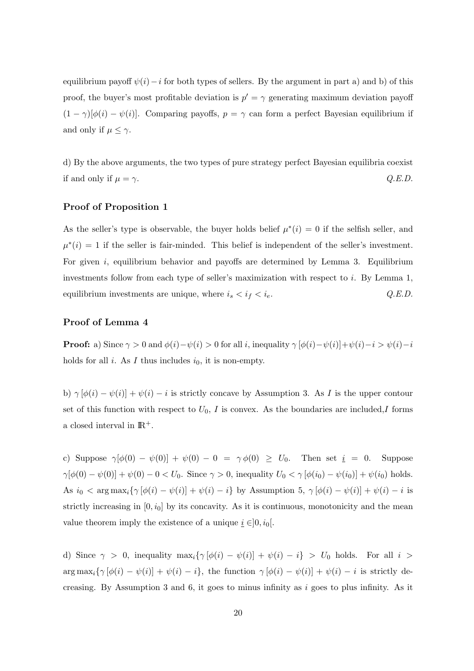equilibrium payoff  $\psi(i)-i$  for both types of sellers. By the argument in part a) and b) of this proof, the buyer's most profitable deviation is  $p' = \gamma$  generating maximum deviation payoff  $(1 - \gamma)[\phi(i) - \psi(i)]$ . Comparing payoffs,  $p = \gamma$  can form a perfect Bayesian equilibrium if and only if  $\mu \leq \gamma$ .

d) By the above arguments, the two types of pure strategy perfect Bayesian equilibria coexist if and only if  $\mu = \gamma$ .  $Q.E.D.$ 

### Proof of Proposition 1

As the seller's type is observable, the buyer holds belief  $\mu^*(i) = 0$  if the selfish seller, and  $\mu^*(i) = 1$  if the seller is fair-minded. This belief is independent of the seller's investment. For given i, equilibrium behavior and payoffs are determined by Lemma 3. Equilibrium investments follow from each type of seller's maximization with respect to  $i$ . By Lemma 1, equilibrium investments are unique, where  $i_s < i_f < i_e$ .  $Q.E.D.$ 

### Proof of Lemma 4

**Proof:** a) Since  $\gamma > 0$  and  $\phi(i) - \psi(i) > 0$  for all i, inequality  $\gamma [\phi(i) - \psi(i)] + \psi(i) - i > \psi(i) - i$ holds for all  $i$ . As  $I$  thus includes  $i_0$ , it is non-empty.

b)  $\gamma [\phi(i) - \psi(i)] + \psi(i) - i$  is strictly concave by Assumption 3. As I is the upper contour set of this function with respect to  $U_0$ , I is convex. As the boundaries are included,I forms a closed interval in  $\mathbb{R}^+$ .

c) Suppose  $\gamma[\phi(0) - \psi(0)] + \psi(0) - 0 = \gamma \phi(0) \ge U_0$ . Then set  $i = 0$ . Suppose  $\gamma[\phi(0) - \psi(0)] + \psi(0) - 0 < U_0$ . Since  $\gamma > 0$ , inequality  $U_0 < \gamma[\phi(i_0) - \psi(i_0)] + \psi(i_0)$  holds. As  $i_0 < \arg \max_i {\gamma [\phi(i) - \psi(i)] + \psi(i) - i}$  by Assumption 5,  $\gamma [\phi(i) - \psi(i)] + \psi(i) - i$  is strictly increasing in  $[0, i_0]$  by its concavity. As it is continuous, monotonicity and the mean value theorem imply the existence of a unique  $i \in ]0, i_0[$ .

d) Since  $\gamma > 0$ , inequality  $\max_i {\gamma [\phi(i) - \psi(i)] + \psi(i) - i} > U_0$  holds. For all  $i >$  $\arg \max_i {\gamma [\phi(i) - \psi(i)] + \psi(i) - i},$  the function  $\gamma [\phi(i) - \psi(i)] + \psi(i) - i$  is strictly decreasing. By Assumption 3 and 6, it goes to minus infinity as  $i$  goes to plus infinity. As it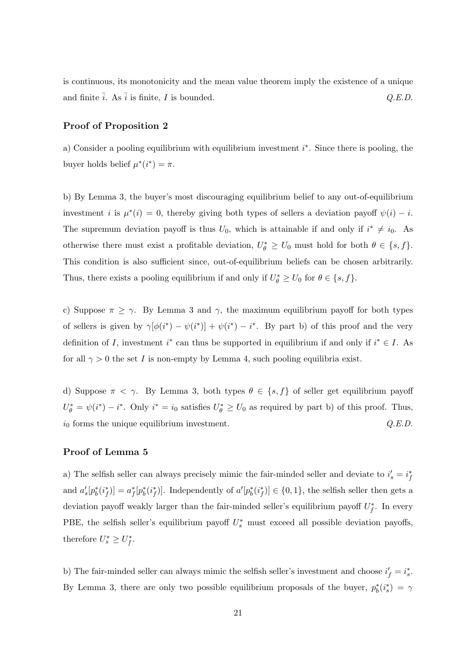is continuous, its monotonicity and the mean value theorem imply the existence of a unique and finite  $\overline{i}$ . As  $\overline{i}$  is finite, I is bounded.  $Q.E.D.$ 

### Proof of Proposition 2

a) Consider a pooling equilibrium with equilibrium investment  $i^*$ . Since there is pooling, the buyer holds belief  $\mu^*(i^*) = \pi$ .

b) By Lemma 3, the buyer's most discouraging equilibrium belief to any out-of-equilibrium investment *i* is  $\mu^*(i) = 0$ , thereby giving both types of sellers a deviation payoff  $\psi(i) - i$ . The supremum deviation payoff is thus  $U_0$ , which is attainable if and only if  $i^* \neq i_0$ . As otherwise there must exist a profitable deviation,  $U_{\theta}^* \geq U_0$  must hold for both  $\theta \in \{s, f\}$ . This condition is also sufficient since, out-of-equilibrium beliefs can be chosen arbitrarily. Thus, there exists a pooling equilibrium if and only if  $U_{\theta}^* \ge U_0$  for  $\theta \in \{s, f\}$ .

c) Suppose  $\pi \geq \gamma$ . By Lemma 3 and  $\gamma$ , the maximum equilibrium payoff for both types of sellers is given by  $\gamma[\phi(i^*) - \psi(i^*)] + \psi(i^*) - i^*$ . By part b) of this proof and the very definition of I, investment  $i^*$  can thus be supported in equilibrium if and only if  $i^* \in I$ . As for all  $\gamma > 0$  the set I is non-empty by Lemma 4, such pooling equilibria exist.

d) Suppose  $\pi < \gamma$ . By Lemma 3, both types  $\theta \in \{s, f\}$  of seller get equilibrium payoff  $U_{\theta}^* = \psi(i^*) - i^*$ . Only  $i^* = i_0$  satisfies  $U_{\theta}^* \ge U_0$  as required by part b) of this proof. Thus,  $i_0$  forms the unique equilibrium investment.  $Q.E.D.$ 

### Proof of Lemma 5

a) The selfish seller can always precisely mimic the fair-minded seller and deviate to  $i_s' = i_f^*$ and  $a'_s[p_b^*(i_f^*)] = a_f^*[p_b^*(i_f^*)]$ . Independently of  $a'[p_b^*(i_f^*)] \in \{0,1\}$ , the selfish seller then gets a deviation payoff weakly larger than the fair-minded seller's equilibrium payoff  $U_f^*$ . In every PBE, the selfish seller's equilibrium payoff  $U_s^*$  must exceed all possible deviation payoffs, therefore  $U_s^* \geq U_f^*$ .

b) The fair-minded seller can always mimic the selfish seller's investment and choose  $i'_f = i_s^*$ . By Lemma 3, there are only two possible equilibrium proposals of the buyer,  $p_b^*(i_s^*) = \gamma$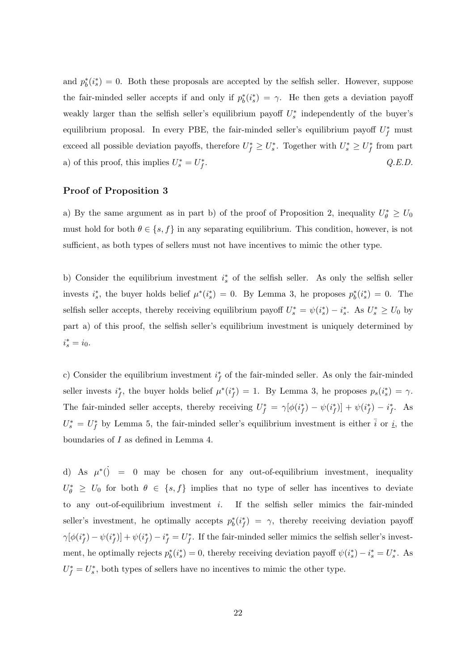and  $p_b^*(i_s^*) = 0$ . Both these proposals are accepted by the selfish seller. However, suppose the fair-minded seller accepts if and only if  $p_b^*(i_s^*) = \gamma$ . He then gets a deviation payoff weakly larger than the selfish seller's equilibrium payoff  $U_s^*$  independently of the buyer's equilibrium proposal. In every PBE, the fair-minded seller's equilibrium payoff  $U_f^*$  must exceed all possible deviation payoffs, therefore  $U_f^* \geq U_s^*$ . Together with  $U_s^* \geq U_f^*$  from part a) of this proof, this implies  $U_s^* = U_f^*$  $O.E.D.$ 

### Proof of Proposition 3

a) By the same argument as in part b) of the proof of Proposition 2, inequality  $U_{\theta}^* \geq U_0$ must hold for both  $\theta \in \{s, f\}$  in any separating equilibrium. This condition, however, is not sufficient, as both types of sellers must not have incentives to mimic the other type.

b) Consider the equilibrium investment  $i_s^*$  of the selfish seller. As only the selfish seller invests  $i_s^*$ , the buyer holds belief  $\mu^*(i_s^*) = 0$ . By Lemma 3, he proposes  $p_b^*(i_s^*) = 0$ . The selfish seller accepts, thereby receiving equilibrium payoff  $U_s^* = \psi(i_s^*) - i_s^*$ . As  $U_s^* \ge U_0$  by part a) of this proof, the selfish seller's equilibrium investment is uniquely determined by  $i_s^* = i_0.$ 

c) Consider the equilibrium investment  $i_f^*$  of the fair-minded seller. As only the fair-minded seller invests  $i_f^*$ , the buyer holds belief  $\mu^*(i_f^*) = 1$ . By Lemma 3, he proposes  $p_s(i_s^*) = \gamma$ . The fair-minded seller accepts, thereby receiving  $U_f^* = \gamma[\phi(i_f^*) - \psi(i_f^*)] + \psi(i_f^*) - i_f^*$ . As  $U_s^* = U_f^*$  by Lemma 5, the fair-minded seller's equilibrium investment is either  $\bar{i}$  or  $i$ , the boundaries of I as defined in Lemma 4.

d) As  $\mu^*(\mathcal{C}) = 0$  may be chosen for any out-of-equilibrium investment, inequality  $U_{\theta}^*$   $\geq U_0$  for both  $\theta \in \{s, f\}$  implies that no type of seller has incentives to deviate to any out-of-equilibrium investment  $i$ . If the selfish seller mimics the fair-minded seller's investment, he optimally accepts  $p_b^*(i_f^*) = \gamma$ , thereby receiving deviation payoff  $\gamma[\phi(i_f^*) - \psi(i_f^*)] + \psi(i_f^*) - i_f^* = U_f^*$ . If the fair-minded seller mimics the selfish seller's investment, he optimally rejects  $p_b^*(i_s^*) = 0$ , thereby receiving deviation payoff  $\psi(i_s^*) - i_s^* = U_s^*$ . As  $U_f^* = U_s^*$ , both types of sellers have no incentives to mimic the other type.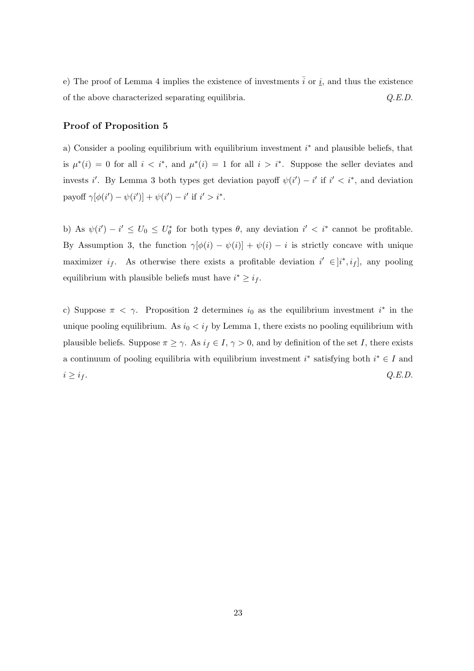e) The proof of Lemma 4 implies the existence of investments  $\overline{i}$  or  $\underline{i}$ , and thus the existence of the above characterized separating equilibria.  $Q.E.D.$ 

### Proof of Proposition 5

a) Consider a pooling equilibrium with equilibrium investment  $i^*$  and plausible beliefs, that is  $\mu^*(i) = 0$  for all  $i < i^*$ , and  $\mu^*(i) = 1$  for all  $i > i^*$ . Suppose the seller deviates and invests i'. By Lemma 3 both types get deviation payoff  $\psi(i') - i'$  if  $i' < i^*$ , and deviation payoff  $\gamma[\phi(i') - \psi(i')] + \psi(i') - i'$  if  $i' > i^*$ .

b) As  $\psi(i') - i' \leq U_0 \leq U_{\theta}^*$  for both types  $\theta$ , any deviation  $i' < i^*$  cannot be profitable. By Assumption 3, the function  $\gamma[\phi(i) - \psi(i)] + \psi(i) - i$  is strictly concave with unique maximizer  $i_f$ . As otherwise there exists a profitable deviation  $i' \in [i^*, i_f]$ , any pooling equilibrium with plausible beliefs must have  $i^* \geq i_f$ .

c) Suppose  $\pi < \gamma$ . Proposition 2 determines  $i_0$  as the equilibrium investment  $i^*$  in the unique pooling equilibrium. As  $i_0 < i_f$  by Lemma 1, there exists no pooling equilibrium with plausible beliefs. Suppose  $\pi \geq \gamma$ . As  $i_f \in I$ ,  $\gamma > 0$ , and by definition of the set I, there exists a continuum of pooling equilibria with equilibrium investment  $i^*$  satisfying both  $i^* \in I$  and  $i \geq i_f$ .  $Q.E.D.$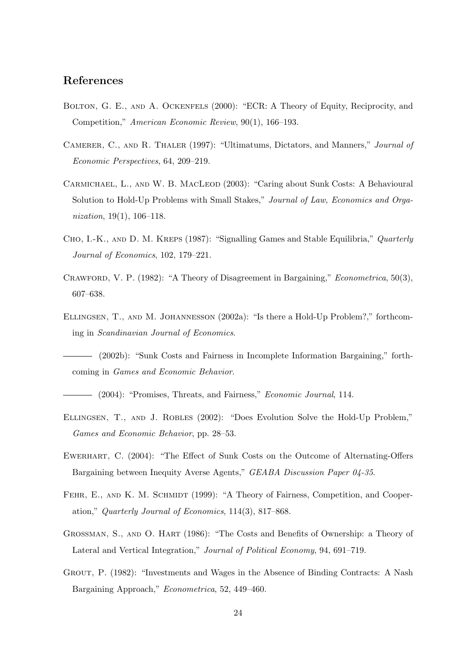### References

- Bolton, G. E., and A. Ockenfels (2000): "ECR: A Theory of Equity, Reciprocity, and Competition," American Economic Review, 90(1), 166–193.
- Camerer, C., and R. Thaler (1997): "Ultimatums, Dictators, and Manners," Journal of Economic Perspectives, 64, 209–219.
- Carmichael, L., and W. B. MacLeod (2003): "Caring about Sunk Costs: A Behavioural Solution to Hold-Up Problems with Small Stakes," Journal of Law, Economics and Organization,  $19(1)$ ,  $106-118$ .
- CHO, I.-K., AND D. M. KREPS (1987): "Signalling Games and Stable Equilibria," Quarterly Journal of Economics, 102, 179–221.
- CRAWFORD, V. P. (1982): "A Theory of Disagreement in Bargaining," *Econometrica*, 50(3), 607–638.
- Ellingsen, T., and M. Johannesson (2002a): "Is there a Hold-Up Problem?," forthcoming in Scandinavian Journal of Economics.

(2002b): "Sunk Costs and Fairness in Incomplete Information Bargaining," forthcoming in Games and Economic Behavior.

 $-$  (2004): "Promises, Threats, and Fairness," *Economic Journal*, 114.

- Ellingsen, T., and J. Robles (2002): "Does Evolution Solve the Hold-Up Problem," Games and Economic Behavior, pp. 28–53.
- Ewerhart, C. (2004): "The Effect of Sunk Costs on the Outcome of Alternating-Offers Bargaining between Inequity Averse Agents," GEABA Discussion Paper 04-35.
- FEHR, E., AND K. M. SCHMIDT (1999): "A Theory of Fairness, Competition, and Cooperation," Quarterly Journal of Economics, 114(3), 817–868.
- Grossman, S., and O. Hart (1986): "The Costs and Benefits of Ownership: a Theory of Lateral and Vertical Integration," Journal of Political Economy, 94, 691–719.
- Grout, P. (1982): "Investments and Wages in the Absence of Binding Contracts: A Nash Bargaining Approach," Econometrica, 52, 449–460.